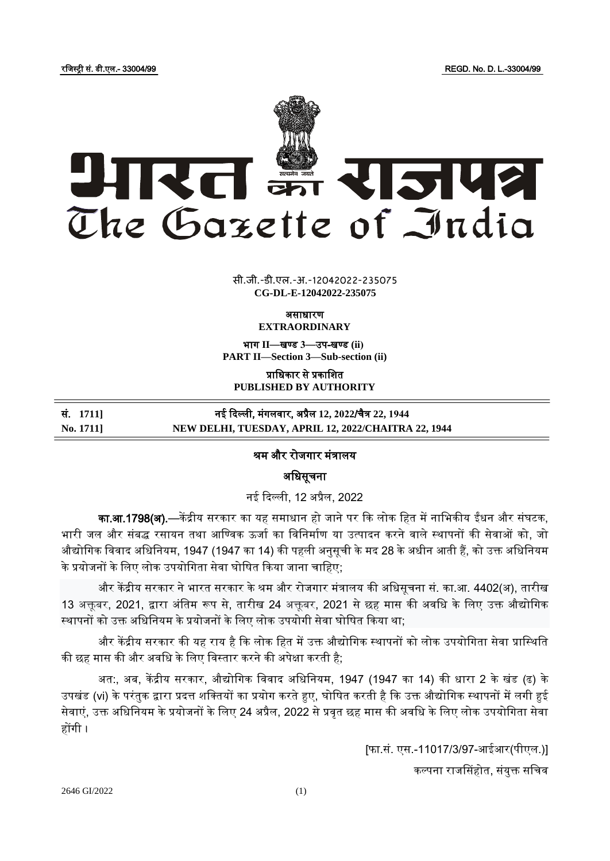रजजस्ट्री सं. डी.एल.- 33004/99 REGD. No. D. L.-33004/99



 $\overline{\phantom{a}}$   $\overline{\phantom{a}}$   $\overline{\phantom{a}}$ **xxx**GIDE**xxx** सी.जी.-डी.एल.-अ.-12042022-235075 **CG-DL-E-12042022-235075**

असाधारण

**EXTRAORDINARY**

भाग **II**—खण् ड **3**—उप-खण् ड **(ii) PART II—Section 3—Sub-section (ii)**

प्राजधकार से प्रकाजित **PUBLISHED BY AUTHORITY**

| सं. 1711] | नई दिल्ली, मंगलवार, अप्रैल 12, 2022/चैत्र 22, 1944  |
|-----------|-----------------------------------------------------|
| No. 1711] | NEW DELHI, TUESDAY, APRIL 12, 2022/CHAITRA 22, 1944 |

## श्रम और रोजगार मंत्रालय

अजधसूचना

नई दिल्ली, 12 अप्रैल, 2022

का.<mark>आ.1798(अ).</mark>—केंद्रीय सरकार का यह समाधान हो जाने पर कि लोक हित में नाभिकीय ईंधन और संघटक, भारी जल और संबद्ध रसायन तथा आण्विक ऊर्जा का विनिर्माण या उत्पादन करने वाले स्थापनों की सेवाओं को, जो औद्योगिक विवाद अधिनियम, 1947 (1947 का 14) की पहली अनुसूची के मद 28 के अधीन आती हैं, को उक्त अधिनियम के प्रयोजनों के लिए लोक उपयोगिता सेवा घोषित किया जाना चाहिए;

और केंद्रीय सरकार ने भारत सरकार के श्रम और रोजगार मंत्रालय की अधिसूचना सं. का.आ. 4402(अ), तारीख 13 अक्तूबर, 2021, द्वारा अंतिम रूप से, तारीख 24 अक्तूबर, 2021 से छह मास की अवधि के लिए उक्त औद्योगिक स्थापनों को उक्त अधिनियम के प्रयोजनों के लिए लोक उपयोगी सेवा घोषित किया था;

और केंद्रीय सरकार की यह राय है कि लोक हित में उक्त औद्योगिक स्थापनों को लोक उपयोगिता सेवा प्रास्थिति की छह मास की और अवधि के लिए विस्तार करने की अपेक्षा करती है;

अत:, अब, केंद्रीय सरकार, औद्योगिक विवाद अधिनियम, 1947 (1947 का 14) की धारा 2 के खंड (ढ) के उपखंड (vi) के परंतुक द्वारा प्रदत्त शक्तियों का प्रयोग करते हुए, घोषित करती है कि उक्त औद्योगिक स्थापनों में लगी हुई सेवाएं, उक्त अधिनियम के प्रयोजनों के लिए 24 अप्रैल, 2022 से प्रवृत छह मास की अवधि के लिए लोक उपयोगिता सेवा होंगी ।

> [फा.सं. एस.-11017/3/97-आईआर(पीएल.)] कल्पना राजसिंहोत, संयुक्त सचिव

2646 GI/2022 (1)